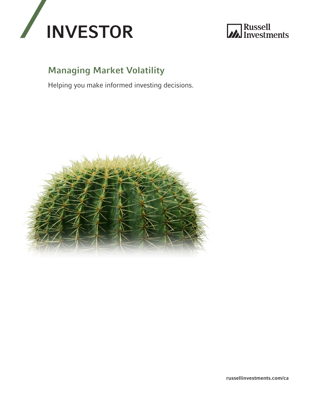



# **Managing Market Volatility**

Helping you make informed investing decisions.



russellinvestments.com/ca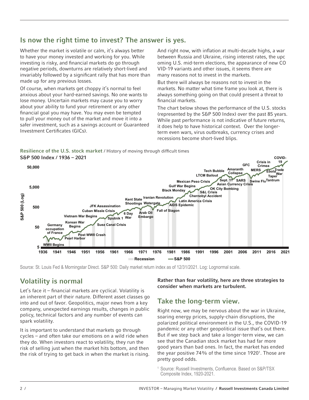## Is now the right time to invest? The answer is yes.

Whether the market is volatile or calm, it's always better to have your money invested and working for you. While investing is risky, and fnancial markets do go through negative periods, downturns are relatively short-lived and invariably followed by a signifcant rally that has more than made up for any previous losses.

Of course, when markets get choppy it's normal to feel anxious about your hard-earned savings. No one wants to lose money. Uncertain markets may cause you to worry about your ability to fund your retirement or any other fnancial goal you may have. You may even be tempted to pull your money out of the market and move it into a safer investment, such as a savings account or Guaranteed Investment Certifcates (GICs).

And right now, with infation at multi-decade highs, a war between Russia and Ukraine, rising interest rates, the upc oming U.S. mid-term elections, the appearance of new CO VID-19 variants and other issues, it seems there are many reasons not to invest in the markets.

But there will always be reasons not to invest in the markets. No matter what time frame you look at, there is always something going on that could present a threat to fnancial markets.

The chart below shows the performance of the U.S. stocks (represented by the S&P 500 Index) over the past 85 years. While past performance is not indicative of future returns, it does help to have historical context. Over the longerterm even wars, virus outbreaks, currency crises and recessions become short-lived blips.

Resilience of the U.S. stock market / History of moving through diffcult times S&P 500 Index / 1936 – 2021 **COVID-**



# Volatility is normal

Let's face it – fnancial markets are cyclical. Volatility is an inherent part of their nature. Different asset classes go into and out of favor. Geopolitics, major news from a key company, unexpected earnings results, changes in public policy, technical factors and any number of events can spark volatility.

It is important to understand that markets go through cycles – and often take our emotions on a wild ride when they do. When investors react to volatility, they run the risk of selling just when the market hits bottom, and then the risk of trying to get back in when the market is rising. Rather than fear volatility, here are three strategies to consider when markets are turbulent.

### Take the long-term view.

Right now, we may be nervous about the war in Ukraine, soaring energy prices, supply-chain disruptions, the polarized political environment in the U.S., the COVID-19 pandemic or any other geopolitical issue that's out there. But if we step back and take a longer-term view, we can see that the Canadian stock market has had far more good years than bad ones. In fact, the market has ended the year positive  $74\%$  of the time since  $1920^{\degree}$ . Those are pretty good odds.

<sup>&</sup>lt;sup>1</sup> Source: Russell Investments, Confluence. Based on S&P/TSX Composite Index, 1920-2021.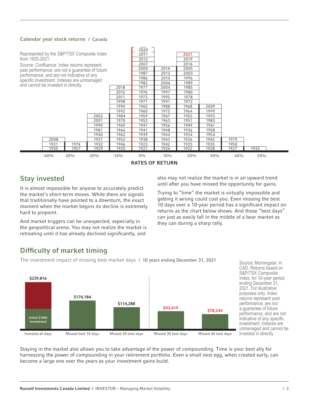### Calendar year stock returns / Canada



It is almost impossible for anyone to accurately predict<br>the market's short-term moves. While there are signals<br>that traditionally have pointed to a downturn, the exact<br>getting it wrong could cost you. Even missing the bes

retreating until it has already declined signifcantly, and

**Stay invested** also may not realize the market is in an upward trend<br>also may not realize the market is in an upward trend<br>until after you have missed the opportunity for gains.

moment when the market begins its decline is extremely 10 days over a 10-year period has a significant impact on<br>returns as the chart below shows. And those "best days" hard to pinpoint.<br>
And market triggers can be unexpected, especially in<br>
they can during a sharp rally.<br>
the geopolitical arena. You may not realize the market is

## Diffculty of market timing

The investment impact of missing best market days / 10 years ending December 31, 2021 Source: Morningstar. In



CAD. Returns based on S&P/TSX Composite ending December 31, 2021. For illustrative purposes only. Index performance, are not performance, and are not indicative of any specific investment. Indexes are unmanaged and cannot be

Staying in the market also allows you to take advantage of the power of compounding. Time is your best ally for harnessing the power of compounding in your retirement portfolio. Even a small nest egg, when created early, can become a large one over the years as your investment gains build.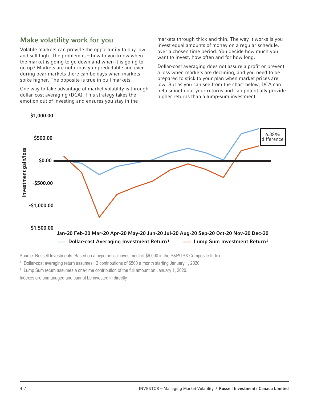### Make volatility work for you

Volatile markets can provide the opportunity to buy low and sell high. The problem is – how to you know when the market is going to go down and when it is going to go up? Markets are notoriously unpredictable and even during bear markets there can be days when markets spike higher. The opposite is true in bull markets.

One way to take advantage of market volatility is through dollar-cost averaging (DCA). This strategy takes the emotion out of investing and ensures you stay in the

markets through thick and thin. The way it works is you invest equal amounts of money on a regular schedule, over a chosen time period. You decide how much you want to invest, how often and for how long.

Dollar-cost averaging does not assure a proft or prevent a loss when markets are declining, and you need to be prepared to stick to your plan when market prices are low. But as you can see from the chart below, DCA can help smooth out your returns and can potentially provide higher returns than a lump-sum investment.



\$[1,000.00](https://1,000.00)

Source: Russell Investments. Based on a hypothetical investment of \$6,000 in the S&P/TSX Composite Index.

<sup>1</sup> Dollar-cost averaging return assumes 12 contributions of \$500 a month starting January 1, 2020.

 $2$  Lump Sum return assumes a one-time contribution of the full amount on January 1, 2020. Indexes are unmanaged and cannot be invested in directly.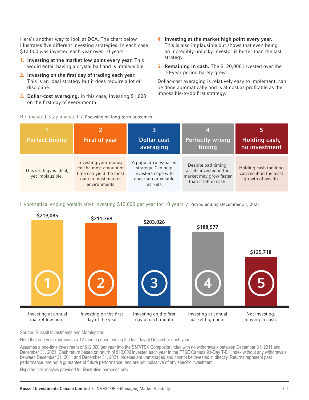Here's another way to look at DCA. The chart below illustrates fve different investing strategies. In each case \$12,000 was invested each year over 10 years:

- 1. Investing at the market low point every year. This would entail having a crystal ball and is implausible.
- 2. Investing on the frst day of trading each year. This is an ideal strategy but it does require a lot of discipline.
- 3. Dollar-cost averaging. In this case, investing \$1,000 on the frst day of every month.
- 4. Investing at the market high point every year. This is also implausible but shows that even being an incredibly unlucky investor is better than the last strategy.
- 5. Remaining in cash. The \$120,000 invested over the 10-year period barely grew.

Dollar-cost averaging is relatively easy to implement, can be done automatically and is almost as proftable as the impossible-to-do frst strategy.

Be invested, stay invested / Focusing on long-term outcomes

| <b>Perfect timing</b>                       | <b>First of year</b>                                                                                             | 3<br><b>Dollar cost</b><br>averaging                                                                    | 4!<br><b>Perfectly wrong</b><br>timing                                                           | Ы<br>Holding cash,<br>no investment                                   |
|---------------------------------------------|------------------------------------------------------------------------------------------------------------------|---------------------------------------------------------------------------------------------------------|--------------------------------------------------------------------------------------------------|-----------------------------------------------------------------------|
| This strategy is ideal,<br>yet implausible. | Investing your money<br>for the most amount of<br>time can yield the most<br>gain in most market<br>environments | A popular rules-based<br>strategy. Can help<br>investors cope with<br>uncertain or volatile<br>markets. | Despite bad timing,<br>assets invested in the<br>market may grow faster<br>than if left in cash. | Holding cash too long<br>can result in the least<br>growth of wealth. |

Hypothetical ending wealth after investing \$12,000 per year for 10 years / Period ending December 31, 2021



Source: Russell Investments and Morningstar.

Note that one year represents a 12-month period ending the last day of December each year.

Assumes a one-time investment of \$12,000 per year into the S&P/TSX Composite Index with no withdrawals between December 31, 2011 and December 31, 2021. Cash return based on return of \$12,000 invested each year in the FTSE Canada 91-Day T-Bill Index without any withdrawals between December 31, 2011 and December 31, 2021. Indexes are unmanaged and cannot be invested in directly. Returns represent past performance, are not a guarantee of future performance, and are not indicative of any specific investment.

Hypothetical analysis provided for illustrative purposes only.